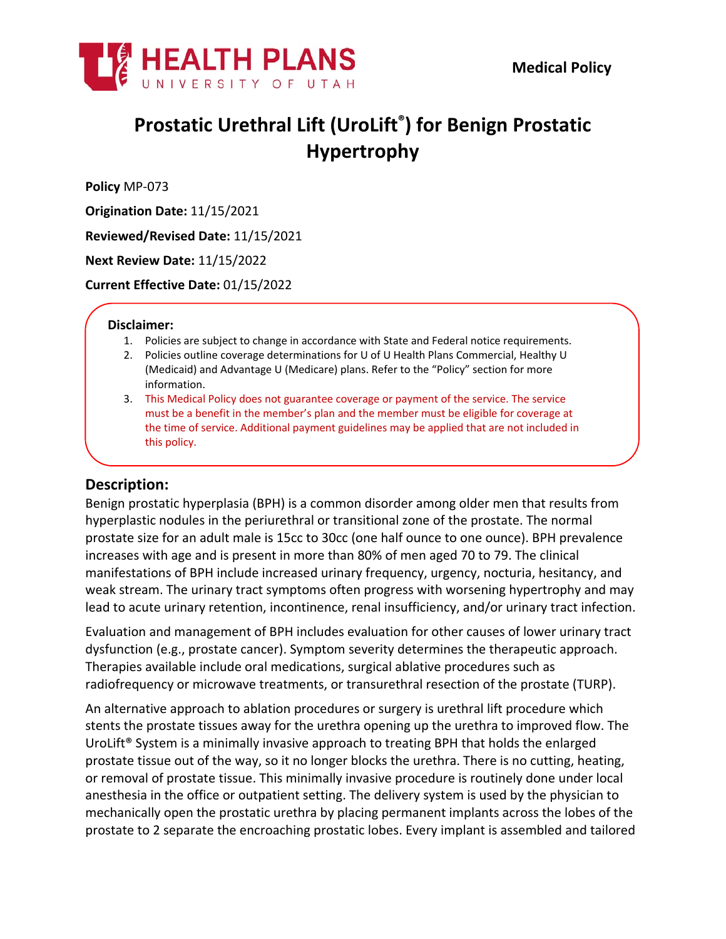

# **Prostatic Urethral Lift (UroLift® ) for Benign Prostatic Hypertrophy**

**Policy** MP-073

**Origination Date:** 11/15/2021

**Reviewed/Revised Date:** 11/15/2021

**Next Review Date:** 11/15/2022

**Current Effective Date:** 01/15/2022

#### **Disclaimer:**

- 1. Policies are subject to change in accordance with State and Federal notice requirements.
- 2. Policies outline coverage determinations for U of U Health Plans Commercial, Healthy U (Medicaid) and Advantage U (Medicare) plans. Refer to the "Policy" section for more information.
- 3. This Medical Policy does not guarantee coverage or payment of the service. The service must be a benefit in the member's plan and the member must be eligible for coverage at the time of service. Additional payment guidelines may be applied that are not included in this policy.

#### **Description:**

Benign prostatic hyperplasia (BPH) is a common disorder among older men that results from hyperplastic nodules in the periurethral or transitional zone of the prostate. The normal prostate size for an adult male is 15cc to 30cc (one half ounce to one ounce). BPH prevalence increases with age and is present in more than 80% of men aged 70 to 79. The clinical manifestations of BPH include increased urinary frequency, urgency, nocturia, hesitancy, and weak stream. The urinary tract symptoms often progress with worsening hypertrophy and may lead to acute urinary retention, incontinence, renal insufficiency, and/or urinary tract infection.

Evaluation and management of BPH includes evaluation for other causes of lower urinary tract dysfunction (e.g., prostate cancer). Symptom severity determines the therapeutic approach. Therapies available include oral medications, surgical ablative procedures such as radiofrequency or microwave treatments, or transurethral resection of the prostate (TURP).

An alternative approach to ablation procedures or surgery is urethral lift procedure which stents the prostate tissues away for the urethra opening up the urethra to improved flow. The UroLift® System is a minimally invasive approach to treating BPH that holds the enlarged prostate tissue out of the way, so it no longer blocks the urethra. There is no cutting, heating, or removal of prostate tissue. This minimally invasive procedure is routinely done under local anesthesia in the office or outpatient setting. The delivery system is used by the physician to mechanically open the prostatic urethra by placing permanent implants across the lobes of the prostate to 2 separate the encroaching prostatic lobes. Every implant is assembled and tailored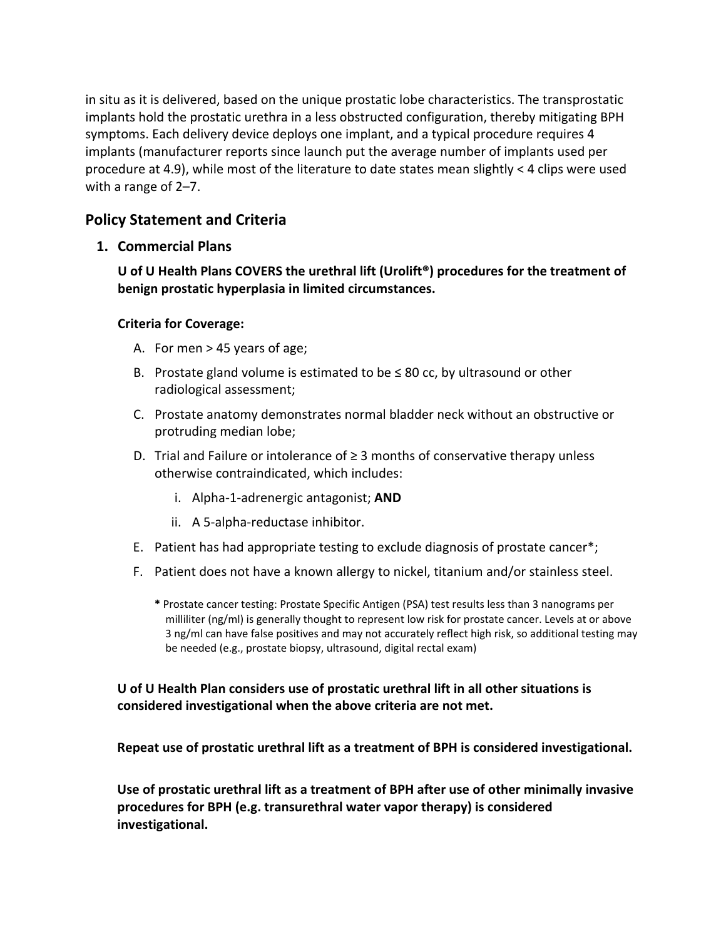in situ as it is delivered, based on the unique prostatic lobe characteristics. The transprostatic implants hold the prostatic urethra in a less obstructed configuration, thereby mitigating BPH symptoms. Each delivery device deploys one implant, and a typical procedure requires 4 implants (manufacturer reports since launch put the average number of implants used per procedure at 4.9), while most of the literature to date states mean slightly < 4 clips were used with a range of 2–7.

## **Policy Statement and Criteria**

## **1. Commercial Plans**

**U of U Health Plans COVERS the urethral lift (Urolift®) procedures for the treatment of benign prostatic hyperplasia in limited circumstances.**

#### **Criteria for Coverage:**

- A. For men > 45 years of age;
- B. Prostate gland volume is estimated to be  $\leq 80$  cc, by ultrasound or other radiological assessment;
- C. Prostate anatomy demonstrates normal bladder neck without an obstructive or protruding median lobe;
- D. Trial and Failure or intolerance of ≥ 3 months of conservative therapy unless otherwise contraindicated, which includes:
	- i. Alpha-1-adrenergic antagonist; **AND**
	- ii. A 5-alpha-reductase inhibitor.
- E. Patient has had appropriate testing to exclude diagnosis of prostate cancer\*;
- F. Patient does not have a known allergy to nickel, titanium and/or stainless steel.
	- **\*** Prostate cancer testing: Prostate Specific Antigen (PSA) test results less than 3 nanograms per milliliter (ng/ml) is generally thought to represent low risk for prostate cancer. Levels at or above 3 ng/ml can have false positives and may not accurately reflect high risk, so additional testing may be needed (e.g., prostate biopsy, ultrasound, digital rectal exam)

## **U of U Health Plan considers use of prostatic urethral lift in all other situations is considered investigational when the above criteria are not met.**

**Repeat use of prostatic urethral lift as a treatment of BPH is considered investigational.**

**Use of prostatic urethral lift as a treatment of BPH after use of other minimally invasive procedures for BPH (e.g. transurethral water vapor therapy) is considered investigational.**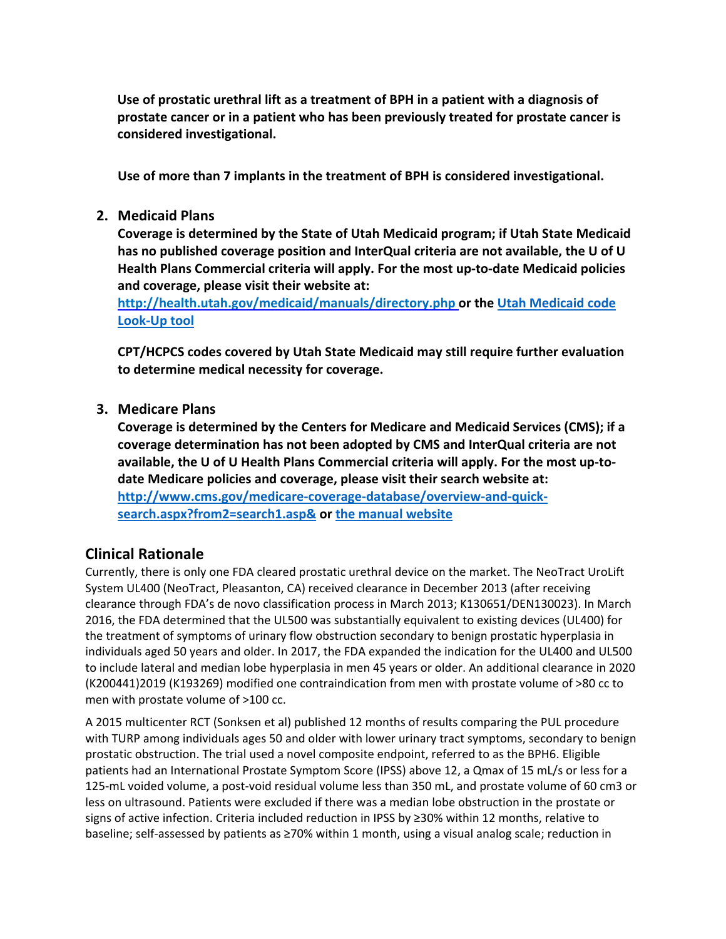**Use of prostatic urethral lift as a treatment of BPH in a patient with a diagnosis of prostate cancer or in a patient who has been previously treated for prostate cancer is considered investigational.**

**Use of more than 7 implants in the treatment of BPH is considered investigational.**

#### **2. Medicaid Plans**

**Coverage is determined by the State of Utah Medicaid program; if Utah State Medicaid has no published coverage position and InterQual criteria are not available, the U of U Health Plans Commercial criteria will apply. For the most up-to-date Medicaid policies and coverage, please visit their website at:**

**<http://health.utah.gov/medicaid/manuals/directory.php> or the [Utah Medicaid code](https://health.utah.gov/stplan/lookup/CoverageLookup.php)  [Look-Up tool](https://health.utah.gov/stplan/lookup/CoverageLookup.php)**

**CPT/HCPCS codes covered by Utah State Medicaid may still require further evaluation to determine medical necessity for coverage.**

#### **3. Medicare Plans**

**Coverage is determined by the Centers for Medicare and Medicaid Services (CMS); if a coverage determination has not been adopted by CMS and InterQual criteria are not available, the U of U Health Plans Commercial criteria will apply. For the most up-todate Medicare policies and coverage, please visit their search website at: [http://www.cms.gov/medicare-coverage-database/overview-and-quick](http://www.cms.gov/medicare-coverage-database/overview-and-quick-search.aspx?from2=search1.asp&)[search.aspx?from2=search1.asp&](http://www.cms.gov/medicare-coverage-database/overview-and-quick-search.aspx?from2=search1.asp&) or [the manual website](https://www.cms.gov/Regulations-and-Guidance/Guidance/Manuals/Internet-Only-Manuals-IOMs)**

## **Clinical Rationale**

Currently, there is only one FDA cleared prostatic urethral device on the market. The NeoTract UroLift System UL400 (NeoTract, Pleasanton, CA) received clearance in December 2013 (after receiving clearance through FDA's de novo classification process in March 2013; K130651/DEN130023). In March 2016, the FDA determined that the UL500 was substantially equivalent to existing devices (UL400) for the treatment of symptoms of urinary flow obstruction secondary to benign prostatic hyperplasia in individuals aged 50 years and older. In 2017, the FDA expanded the indication for the UL400 and UL500 to include lateral and median lobe hyperplasia in men 45 years or older. An additional clearance in 2020 (K200441)2019 (K193269) modified one contraindication from men with prostate volume of >80 cc to men with prostate volume of >100 cc.

A 2015 multicenter RCT (Sonksen et al) published 12 months of results comparing the PUL procedure with TURP among individuals ages 50 and older with lower urinary tract symptoms, secondary to benign prostatic obstruction. The trial used a novel composite endpoint, referred to as the BPH6. Eligible patients had an International Prostate Symptom Score (IPSS) above 12, a Qmax of 15 mL/s or less for a 125-mL voided volume, a post-void residual volume less than 350 mL, and prostate volume of 60 cm3 or less on ultrasound. Patients were excluded if there was a median lobe obstruction in the prostate or signs of active infection. Criteria included reduction in IPSS by ≥30% within 12 months, relative to baseline; self-assessed by patients as ≥70% within 1 month, using a visual analog scale; reduction in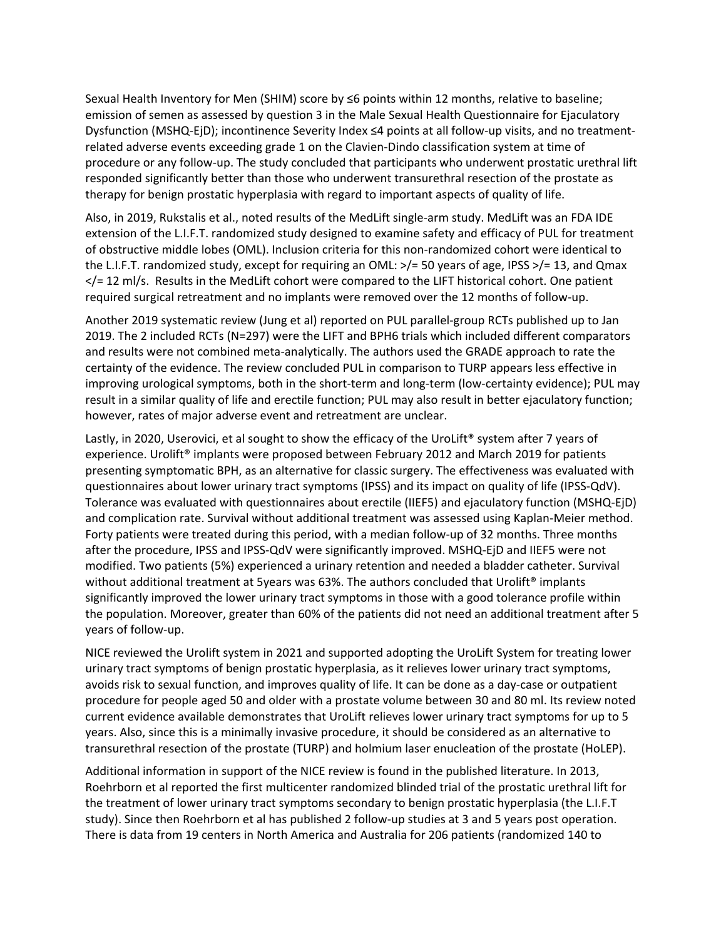Sexual Health Inventory for Men (SHIM) score by ≤6 points within 12 months, relative to baseline; emission of semen as assessed by question 3 in the Male Sexual Health Questionnaire for Ejaculatory Dysfunction (MSHQ-EjD); incontinence Severity Index ≤4 points at all follow-up visits, and no treatmentrelated adverse events exceeding grade 1 on the Clavien-Dindo classification system at time of procedure or any follow-up. The study concluded that participants who underwent prostatic urethral lift responded significantly better than those who underwent transurethral resection of the prostate as therapy for benign prostatic hyperplasia with regard to important aspects of quality of life.

Also, in 2019, Rukstalis et al., noted results of the MedLift single-arm study. MedLift was an FDA IDE extension of the L.I.F.T. randomized study designed to examine safety and efficacy of PUL for treatment of obstructive middle lobes (OML). Inclusion criteria for this non-randomized cohort were identical to the L.I.F.T. randomized study, except for requiring an OML: >/= 50 years of age, IPSS >/= 13, and Qmax </= 12 ml/s. Results in the MedLift cohort were compared to the LIFT historical cohort. One patient required surgical retreatment and no implants were removed over the 12 months of follow-up.

Another 2019 systematic review (Jung et al) reported on PUL parallel-group RCTs published up to Jan 2019. The 2 included RCTs (N=297) were the LIFT and BPH6 trials which included different comparators and results were not combined meta-analytically. The authors used the GRADE approach to rate the certainty of the evidence. The review concluded PUL in comparison to TURP appears less effective in improving urological symptoms, both in the short-term and long-term (low-certainty evidence); PUL may result in a similar quality of life and erectile function; PUL may also result in better ejaculatory function; however, rates of major adverse event and retreatment are unclear.

Lastly, in 2020, Userovici, et al sought to show the efficacy of the UroLift® system after 7 years of experience. Urolift<sup>®</sup> implants were proposed between February 2012 and March 2019 for patients presenting symptomatic BPH, as an alternative for classic surgery. The effectiveness was evaluated with questionnaires about lower urinary tract symptoms (IPSS) and its impact on quality of life (IPSS-QdV). Tolerance was evaluated with questionnaires about erectile (IIEF5) and ejaculatory function (MSHQ-EjD) and complication rate. Survival without additional treatment was assessed using Kaplan-Meier method. Forty patients were treated during this period, with a median follow-up of 32 months. Three months after the procedure, IPSS and IPSS-QdV were significantly improved. MSHQ-EjD and IIEF5 were not modified. Two patients (5%) experienced a urinary retention and needed a bladder catheter. Survival without additional treatment at 5years was 63%. The authors concluded that Urolift<sup>®</sup> implants significantly improved the lower urinary tract symptoms in those with a good tolerance profile within the population. Moreover, greater than 60% of the patients did not need an additional treatment after 5 years of follow-up.

NICE reviewed the Urolift system in 2021 and supported adopting the UroLift System for treating lower urinary tract symptoms of benign prostatic hyperplasia, as it relieves lower urinary tract symptoms, avoids risk to sexual function, and improves quality of life. It can be done as a day-case or outpatient procedure for people aged 50 and older with a prostate volume between 30 and 80 ml. Its review noted current evidence available demonstrates that UroLift relieves lower urinary tract symptoms for up to 5 years. Also, since this is a minimally invasive procedure, it should be considered as an alternative to transurethral resection of the prostate (TURP) and holmium laser enucleation of the prostate (HoLEP).

Additional information in support of the NICE review is found in the published literature. In 2013, Roehrborn et al reported the first multicenter randomized blinded trial of the prostatic urethral lift for the treatment of lower urinary tract symptoms secondary to benign prostatic hyperplasia (the L.I.F.T study). Since then Roehrborn et al has published 2 follow-up studies at 3 and 5 years post operation. There is data from 19 centers in North America and Australia for 206 patients (randomized 140 to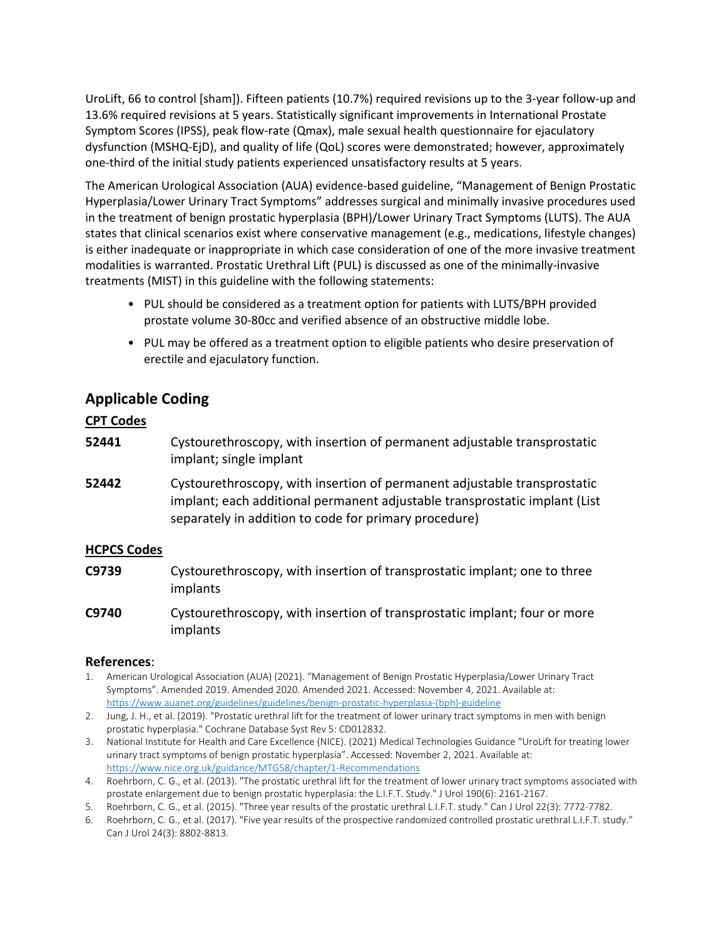UroLift, 66 to control [sham]). Fifteen patients (10.7%) required revisions up to the 3-year follow-up and 13.6% required revisions at 5 years. Statistically significant improvements in International Prostate Symptom Scores (IPSS), peak flow-rate (Qmax), male sexual health questionnaire for ejaculatory dysfunction (MSHQ-EjD), and quality of life (QoL) scores were demonstrated; however, approximately one-third of the initial study patients experienced unsatisfactory results at 5 years.

The American Urological Association (AUA) evidence-based guideline, "Management of Benign Prostatic Hyperplasia/Lower Urinary Tract Symptoms" addresses surgical and minimally invasive procedures used in the treatment of benign prostatic hyperplasia (BPH)/Lower Urinary Tract Symptoms (LUTS). The AUA states that clinical scenarios exist where conservative management (e.g., medications, lifestyle changes) is either inadequate or inappropriate in which case consideration of one of the more invasive treatment modalities is warranted. Prostatic Urethral Lift (PUL) is discussed as one of the minimally-invasive treatments (MIST) in this guideline with the following statements:

- PUL should be considered as a treatment option for patients with LUTS/BPH provided prostate volume 30-80cc and verified absence of an obstructive middle lobe.
- PUL may be offered as a treatment option to eligible patients who desire preservation of erectile and ejaculatory function.

## **Applicable Coding**

#### **CPT Codes**

- **52441** Cystourethroscopy, with insertion of permanent adjustable transprostatic implant; single implant
- **52442** Cystourethroscopy, with insertion of permanent adjustable transprostatic implant; each additional permanent adjustable transprostatic implant (List separately in addition to code for primary procedure)

#### **HCPCS Codes**

- **C9739** Cystourethroscopy, with insertion of transprostatic implant; one to three implants
- **C9740** Cystourethroscopy, with insertion of transprostatic implant; four or more implants

#### **References**:

- 1. American Urological Association (AUA) (2021). "Management of Benign Prostatic Hyperplasia/Lower Urinary Tract Symptoms". Amended 2019. Amended 2020. Amended 2021. Accessed: November 4, 2021. Available at: [https://www.auanet.org/guidelines/guidelines/benign-prostatic-hyperplasia-\(bph\)-guideline](https://www.auanet.org/guidelines/guidelines/benign-prostatic-hyperplasia-(bph)-guideline)
- 2. Jung, J. H., et al. (2019). "Prostatic urethral lift for the treatment of lower urinary tract symptoms in men with benign prostatic hyperplasia." Cochrane Database Syst Rev 5: CD012832.
- 3. National Institute for Health and Care Excellence (NICE). (2021) Medical Technologies Guidance "UroLift for treating lower urinary tract symptoms of benign prostatic hyperplasia". Accessed: November 2, 2021. Available at: <https://www.nice.org.uk/guidance/MTG58/chapter/1-Recommendations>
- 4. Roehrborn, C. G., et al. (2013). "The prostatic urethral lift for the treatment of lower urinary tract symptoms associated with prostate enlargement due to benign prostatic hyperplasia: the L.I.F.T. Study." J Urol 190(6): 2161-2167.
- 5. Roehrborn, C. G., et al. (2015). "Three year results of the prostatic urethral L.I.F.T. study." Can J Urol 22(3): 7772-7782.
- 6. Roehrborn, C. G., et al. (2017). "Five year results of the prospective randomized controlled prostatic urethral L.I.F.T. study." Can J Urol 24(3): 8802-8813.